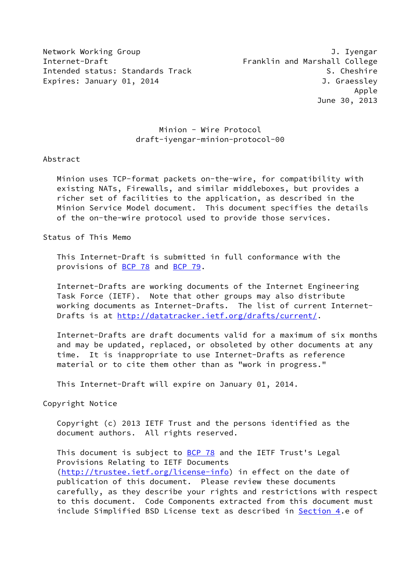Network Working Group **J. Ivengar** Internet-Draft Franklin and Marshall College Intended status: Standards Track S. Cheshire Expires: January 01, 2014 **J. Graessley** 

# Minion - Wire Protocol draft-iyengar-minion-protocol-00

## Abstract

 Minion uses TCP-format packets on-the-wire, for compatibility with existing NATs, Firewalls, and similar middleboxes, but provides a richer set of facilities to the application, as described in the Minion Service Model document. This document specifies the details of the on-the-wire protocol used to provide those services.

Status of This Memo

 This Internet-Draft is submitted in full conformance with the provisions of [BCP 78](https://datatracker.ietf.org/doc/pdf/bcp78) and [BCP 79](https://datatracker.ietf.org/doc/pdf/bcp79).

 Internet-Drafts are working documents of the Internet Engineering Task Force (IETF). Note that other groups may also distribute working documents as Internet-Drafts. The list of current Internet Drafts is at<http://datatracker.ietf.org/drafts/current/>.

 Internet-Drafts are draft documents valid for a maximum of six months and may be updated, replaced, or obsoleted by other documents at any time. It is inappropriate to use Internet-Drafts as reference material or to cite them other than as "work in progress."

This Internet-Draft will expire on January 01, 2014.

Copyright Notice

 Copyright (c) 2013 IETF Trust and the persons identified as the document authors. All rights reserved.

This document is subject to **[BCP 78](https://datatracker.ietf.org/doc/pdf/bcp78)** and the IETF Trust's Legal Provisions Relating to IETF Documents [\(http://trustee.ietf.org/license-info](http://trustee.ietf.org/license-info)) in effect on the date of publication of this document. Please review these documents carefully, as they describe your rights and restrictions with respect to this document. Code Components extracted from this document must include Simplified BSD License text as described in [Section 4.](#page-7-0)e of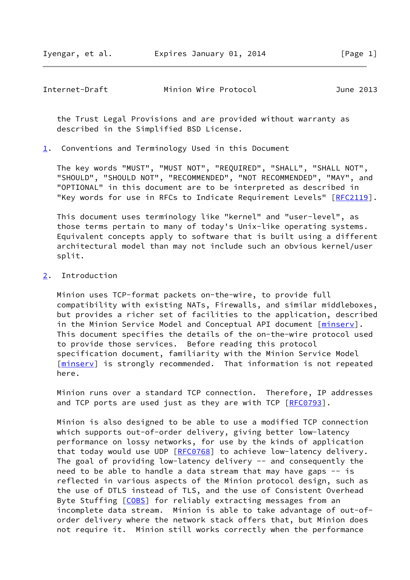Iyengar, et al. Expires January 01, 2014 [Page 1]

Internet-Draft Minion Wire Protocol June 2013

 the Trust Legal Provisions and are provided without warranty as described in the Simplified BSD License.

<span id="page-1-0"></span>[1](#page-1-0). Conventions and Terminology Used in this Document

 The key words "MUST", "MUST NOT", "REQUIRED", "SHALL", "SHALL NOT", "SHOULD", "SHOULD NOT", "RECOMMENDED", "NOT RECOMMENDED", "MAY", and "OPTIONAL" in this document are to be interpreted as described in "Key words for use in RFCs to Indicate Requirement Levels" [[RFC2119\]](https://datatracker.ietf.org/doc/pdf/rfc2119).

 This document uses terminology like "kernel" and "user-level", as those terms pertain to many of today's Unix-like operating systems. Equivalent concepts apply to software that is built using a different architectural model than may not include such an obvious kernel/user split.

<span id="page-1-1"></span>[2](#page-1-1). Introduction

 Minion uses TCP-format packets on-the-wire, to provide full compatibility with existing NATs, Firewalls, and similar middleboxes, but provides a richer set of facilities to the application, described in the Minion Service Model and Conceptual API document [\[minserv](#page-13-0)]. This document specifies the details of the on-the-wire protocol used to provide those services. Before reading this protocol specification document, familiarity with the Minion Service Model [\[minserv](#page-13-0)] is strongly recommended. That information is not repeated here.

 Minion runs over a standard TCP connection. Therefore, IP addresses and TCP ports are used just as they are with TCP [\[RFC0793](https://datatracker.ietf.org/doc/pdf/rfc0793)].

 Minion is also designed to be able to use a modified TCP connection which supports out-of-order delivery, giving better low-latency performance on lossy networks, for use by the kinds of application that today would use UDP [\[RFC0768](https://datatracker.ietf.org/doc/pdf/rfc0768)] to achieve low-latency delivery. The goal of providing low-latency delivery -- and consequently the need to be able to handle a data stream that may have gaps -- is reflected in various aspects of the Minion protocol design, such as the use of DTLS instead of TLS, and the use of Consistent Overhead Byte Stuffing [[COBS\]](#page-12-0) for reliably extracting messages from an incomplete data stream. Minion is able to take advantage of out-of order delivery where the network stack offers that, but Minion does not require it. Minion still works correctly when the performance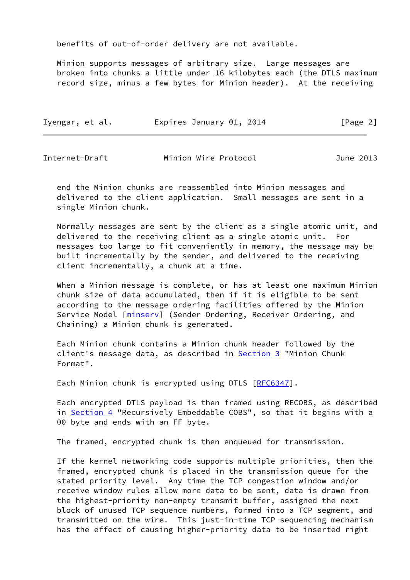benefits of out-of-order delivery are not available.

 Minion supports messages of arbitrary size. Large messages are broken into chunks a little under 16 kilobytes each (the DTLS maximum record size, minus a few bytes for Minion header). At the receiving

| Iyengar, et al. | Expires January 01, 2014 | [Page 2] |
|-----------------|--------------------------|----------|
|-----------------|--------------------------|----------|

| Internet-Draft | Minion Wire Protocol | June 2013 |
|----------------|----------------------|-----------|
|----------------|----------------------|-----------|

 end the Minion chunks are reassembled into Minion messages and delivered to the client application. Small messages are sent in a single Minion chunk.

 Normally messages are sent by the client as a single atomic unit, and delivered to the receiving client as a single atomic unit. For messages too large to fit conveniently in memory, the message may be built incrementally by the sender, and delivered to the receiving client incrementally, a chunk at a time.

 When a Minion message is complete, or has at least one maximum Minion chunk size of data accumulated, then if it is eligible to be sent according to the message ordering facilities offered by the Minion Service Model [[minserv](#page-13-0)] (Sender Ordering, Receiver Ordering, and Chaining) a Minion chunk is generated.

 Each Minion chunk contains a Minion chunk header followed by the client's message data, as described in [Section 3](#page-3-0) "Minion Chunk Format".

Each Minion chunk is encrypted using DTLS [[RFC6347](https://datatracker.ietf.org/doc/pdf/rfc6347)].

 Each encrypted DTLS payload is then framed using RECOBS, as described in [Section 4](#page-7-0) "Recursively Embeddable COBS", so that it begins with a 00 byte and ends with an FF byte.

The framed, encrypted chunk is then enqueued for transmission.

 If the kernel networking code supports multiple priorities, then the framed, encrypted chunk is placed in the transmission queue for the stated priority level. Any time the TCP congestion window and/or receive window rules allow more data to be sent, data is drawn from the highest-priority non-empty transmit buffer, assigned the next block of unused TCP sequence numbers, formed into a TCP segment, and transmitted on the wire. This just-in-time TCP sequencing mechanism has the effect of causing higher-priority data to be inserted right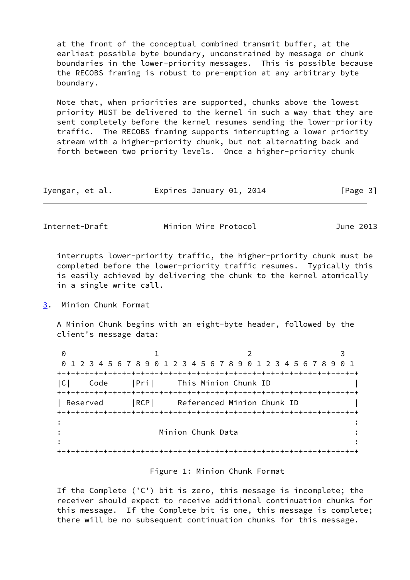at the front of the conceptual combined transmit buffer, at the earliest possible byte boundary, unconstrained by message or chunk boundaries in the lower-priority messages. This is possible because the RECOBS framing is robust to pre-emption at any arbitrary byte boundary.

 Note that, when priorities are supported, chunks above the lowest priority MUST be delivered to the kernel in such a way that they are sent completely before the kernel resumes sending the lower-priority traffic. The RECOBS framing supports interrupting a lower priority stream with a higher-priority chunk, but not alternating back and forth between two priority levels. Once a higher-priority chunk

| Iyengar, et al. | Expires January 01, 2014 | [Page 3] |
|-----------------|--------------------------|----------|
|-----------------|--------------------------|----------|

Internet-Draft Minion Wire Protocol June 2013

 interrupts lower-priority traffic, the higher-priority chunk must be completed before the lower-priority traffic resumes. Typically this is easily achieved by delivering the chunk to the kernel atomically in a single write call.

### <span id="page-3-0"></span>[3](#page-3-0). Minion Chunk Format

 A Minion Chunk begins with an eight-byte header, followed by the client's message data:

0 1 2 3 0 1 2 3 4 5 6 7 8 9 0 1 2 3 4 5 6 7 8 9 0 1 2 3 4 5 6 7 8 9 0 1 +-+-+-+-+-+-+-+-+-+-+-+-+-+-+-+-+-+-+-+-+-+-+-+-+-+-+-+-+-+-+-+-+ |C| Code |Pri| This Minion Chunk ID | +-+-+-+-+-+-+-+-+-+-+-+-+-+-+-+-+-+-+-+-+-+-+-+-+-+-+-+-+-+-+-+-+ | Reserved | RCP| Referenced Minion Chunk ID +-+-+-+-+-+-+-+-+-+-+-+-+-+-+-+-+-+-+-+-+-+-+-+-+-+-+-+-+-+-+-+-+ : : : Minion Chunk Data : : : +-+-+-+-+-+-+-+-+-+-+-+-+-+-+-+-+-+-+-+-+-+-+-+-+-+-+-+-+-+-+-+-+

### Figure 1: Minion Chunk Format

 If the Complete ('C') bit is zero, this message is incomplete; the receiver should expect to receive additional continuation chunks for this message. If the Complete bit is one, this message is complete; there will be no subsequent continuation chunks for this message.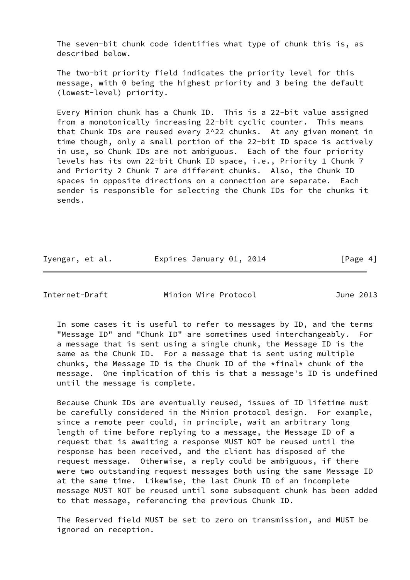The seven-bit chunk code identifies what type of chunk this is, as described below.

 The two-bit priority field indicates the priority level for this message, with 0 being the highest priority and 3 being the default (lowest-level) priority.

 Every Minion chunk has a Chunk ID. This is a 22-bit value assigned from a monotonically increasing 22-bit cyclic counter. This means that Chunk IDs are reused every 2^22 chunks. At any given moment in time though, only a small portion of the 22-bit ID space is actively in use, so Chunk IDs are not ambiguous. Each of the four priority levels has its own 22-bit Chunk ID space, i.e., Priority 1 Chunk 7 and Priority 2 Chunk 7 are different chunks. Also, the Chunk ID spaces in opposite directions on a connection are separate. Each sender is responsible for selecting the Chunk IDs for the chunks it sends.

| Iyengar, et al.<br>Expires January 01, 2014 | [Page 4] |
|---------------------------------------------|----------|
|---------------------------------------------|----------|

Internet-Draft Minion Wire Protocol June 2013

 In some cases it is useful to refer to messages by ID, and the terms "Message ID" and "Chunk ID" are sometimes used interchangeably. For a message that is sent using a single chunk, the Message ID is the same as the Chunk ID. For a message that is sent using multiple chunks, the Message ID is the Chunk ID of the \*final\* chunk of the message. One implication of this is that a message's ID is undefined until the message is complete.

 Because Chunk IDs are eventually reused, issues of ID lifetime must be carefully considered in the Minion protocol design. For example, since a remote peer could, in principle, wait an arbitrary long length of time before replying to a message, the Message ID of a request that is awaiting a response MUST NOT be reused until the response has been received, and the client has disposed of the request message. Otherwise, a reply could be ambiguous, if there were two outstanding request messages both using the same Message ID at the same time. Likewise, the last Chunk ID of an incomplete message MUST NOT be reused until some subsequent chunk has been added to that message, referencing the previous Chunk ID.

 The Reserved field MUST be set to zero on transmission, and MUST be ignored on reception.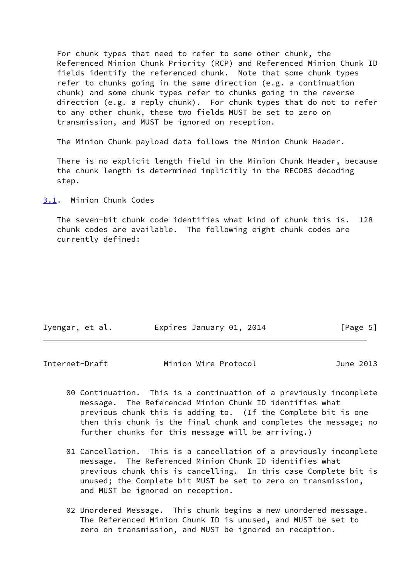For chunk types that need to refer to some other chunk, the Referenced Minion Chunk Priority (RCP) and Referenced Minion Chunk ID fields identify the referenced chunk. Note that some chunk types refer to chunks going in the same direction (e.g. a continuation chunk) and some chunk types refer to chunks going in the reverse direction (e.g. a reply chunk). For chunk types that do not to refer to any other chunk, these two fields MUST be set to zero on transmission, and MUST be ignored on reception.

The Minion Chunk payload data follows the Minion Chunk Header.

 There is no explicit length field in the Minion Chunk Header, because the chunk length is determined implicitly in the RECOBS decoding step.

<span id="page-5-0"></span>[3.1](#page-5-0). Minion Chunk Codes

 The seven-bit chunk code identifies what kind of chunk this is. 128 chunk codes are available. The following eight chunk codes are currently defined:

| Iyengar, et al. | Expires January 01, 2014 | [Page 5] |
|-----------------|--------------------------|----------|
|                 |                          |          |

Internet-Draft Minion Wire Protocol June 2013

- 00 Continuation. This is a continuation of a previously incomplete message. The Referenced Minion Chunk ID identifies what previous chunk this is adding to. (If the Complete bit is one then this chunk is the final chunk and completes the message; no further chunks for this message will be arriving.)
- 01 Cancellation. This is a cancellation of a previously incomplete message. The Referenced Minion Chunk ID identifies what previous chunk this is cancelling. In this case Complete bit is unused; the Complete bit MUST be set to zero on transmission, and MUST be ignored on reception.
- 02 Unordered Message. This chunk begins a new unordered message. The Referenced Minion Chunk ID is unused, and MUST be set to zero on transmission, and MUST be ignored on reception.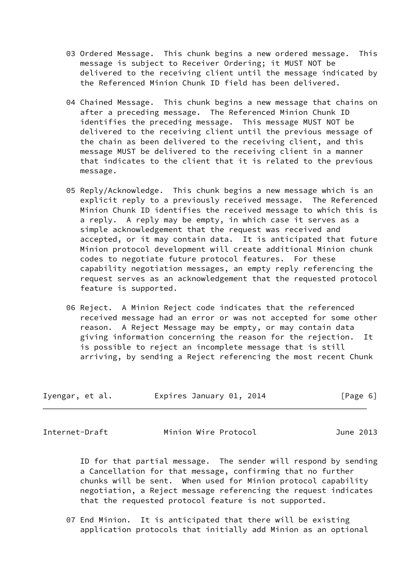- 03 Ordered Message. This chunk begins a new ordered message. This message is subject to Receiver Ordering; it MUST NOT be delivered to the receiving client until the message indicated by the Referenced Minion Chunk ID field has been delivered.
- 04 Chained Message. This chunk begins a new message that chains on after a preceding message. The Referenced Minion Chunk ID identifies the preceding message. This message MUST NOT be delivered to the receiving client until the previous message of the chain as been delivered to the receiving client, and this message MUST be delivered to the receiving client in a manner that indicates to the client that it is related to the previous message.
- 05 Reply/Acknowledge. This chunk begins a new message which is an explicit reply to a previously received message. The Referenced Minion Chunk ID identifies the received message to which this is a reply. A reply may be empty, in which case it serves as a simple acknowledgement that the request was received and accepted, or it may contain data. It is anticipated that future Minion protocol development will create additional Minion chunk codes to negotiate future protocol features. For these capability negotiation messages, an empty reply referencing the request serves as an acknowledgement that the requested protocol feature is supported.
- 06 Reject. A Minion Reject code indicates that the referenced received message had an error or was not accepted for some other reason. A Reject Message may be empty, or may contain data giving information concerning the reason for the rejection. It is possible to reject an incomplete message that is still arriving, by sending a Reject referencing the most recent Chunk

| Iyengar, et al. | Expires January 01, 2014 |  | [Page 6] |  |
|-----------------|--------------------------|--|----------|--|
|                 |                          |  |          |  |

Internet-Draft Minion Wire Protocol June 2013

 ID for that partial message. The sender will respond by sending a Cancellation for that message, confirming that no further chunks will be sent. When used for Minion protocol capability negotiation, a Reject message referencing the request indicates that the requested protocol feature is not supported.

 07 End Minion. It is anticipated that there will be existing application protocols that initially add Minion as an optional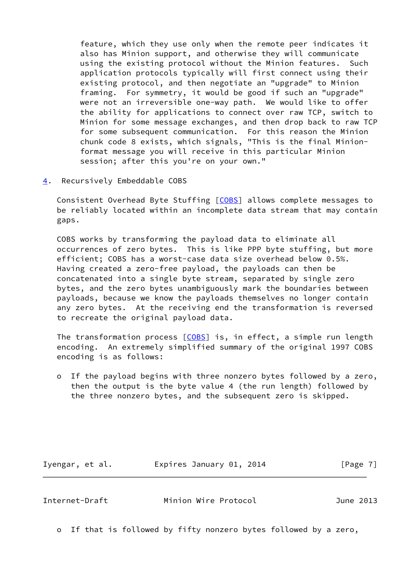feature, which they use only when the remote peer indicates it also has Minion support, and otherwise they will communicate using the existing protocol without the Minion features. Such application protocols typically will first connect using their existing protocol, and then negotiate an "upgrade" to Minion framing. For symmetry, it would be good if such an "upgrade" were not an irreversible one-way path. We would like to offer the ability for applications to connect over raw TCP, switch to Minion for some message exchanges, and then drop back to raw TCP for some subsequent communication. For this reason the Minion chunk code 8 exists, which signals, "This is the final Minion format message you will receive in this particular Minion session; after this you're on your own."

<span id="page-7-0"></span>[4](#page-7-0). Recursively Embeddable COBS

 Consistent Overhead Byte Stuffing [[COBS\]](#page-12-0) allows complete messages to be reliably located within an incomplete data stream that may contain gaps.

 COBS works by transforming the payload data to eliminate all occurrences of zero bytes. This is like PPP byte stuffing, but more efficient; COBS has a worst-case data size overhead below 0.5%. Having created a zero-free payload, the payloads can then be concatenated into a single byte stream, separated by single zero bytes, and the zero bytes unambiguously mark the boundaries between payloads, because we know the payloads themselves no longer contain any zero bytes. At the receiving end the transformation is reversed to recreate the original payload data.

The transformation process  $[COBS]$  $[COBS]$  is, in effect, a simple run length encoding. An extremely simplified summary of the original 1997 COBS encoding is as follows:

 o If the payload begins with three nonzero bytes followed by a zero, then the output is the byte value 4 (the run length) followed by the three nonzero bytes, and the subsequent zero is skipped.

Iyengar, et al. **Expires January 01, 2014** [Page 7]

Internet-Draft Minion Wire Protocol June 2013

o If that is followed by fifty nonzero bytes followed by a zero,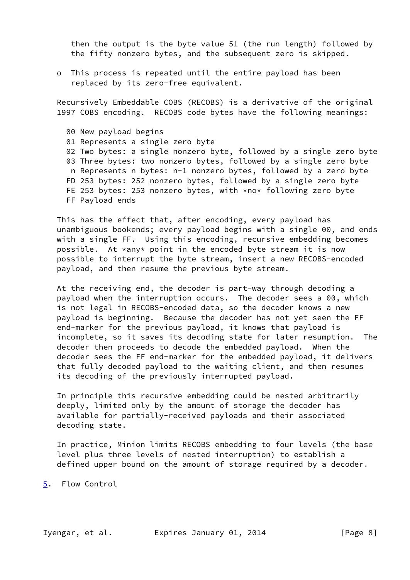then the output is the byte value 51 (the run length) followed by the fifty nonzero bytes, and the subsequent zero is skipped.

 o This process is repeated until the entire payload has been replaced by its zero-free equivalent.

 Recursively Embeddable COBS (RECOBS) is a derivative of the original 1997 COBS encoding. RECOBS code bytes have the following meanings:

 00 New payload begins 01 Represents a single zero byte 02 Two bytes: a single nonzero byte, followed by a single zero byte 03 Three bytes: two nonzero bytes, followed by a single zero byte n Represents n bytes: n-1 nonzero bytes, followed by a zero byte FD 253 bytes: 252 nonzero bytes, followed by a single zero byte FE 253 bytes: 253 nonzero bytes, with \*no\* following zero byte FF Payload ends

 This has the effect that, after encoding, every payload has unambiguous bookends; every payload begins with a single 00, and ends with a single FF. Using this encoding, recursive embedding becomes possible. At \*any\* point in the encoded byte stream it is now possible to interrupt the byte stream, insert a new RECOBS-encoded payload, and then resume the previous byte stream.

 At the receiving end, the decoder is part-way through decoding a payload when the interruption occurs. The decoder sees a 00, which is not legal in RECOBS-encoded data, so the decoder knows a new payload is beginning. Because the decoder has not yet seen the FF end-marker for the previous payload, it knows that payload is incomplete, so it saves its decoding state for later resumption. The decoder then proceeds to decode the embedded payload. When the decoder sees the FF end-marker for the embedded payload, it delivers that fully decoded payload to the waiting client, and then resumes its decoding of the previously interrupted payload.

 In principle this recursive embedding could be nested arbitrarily deeply, limited only by the amount of storage the decoder has available for partially-received payloads and their associated decoding state.

 In practice, Minion limits RECOBS embedding to four levels (the base level plus three levels of nested interruption) to establish a defined upper bound on the amount of storage required by a decoder.

<span id="page-8-0"></span>[5](#page-8-0). Flow Control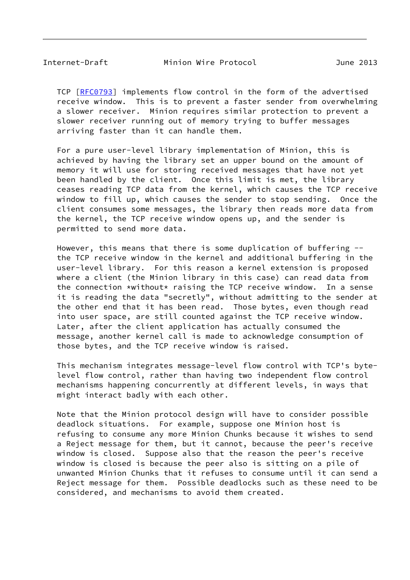Internet-Draft Minion Wire Protocol June 2013

TCP [\[RFC0793](https://datatracker.ietf.org/doc/pdf/rfc0793)] implements flow control in the form of the advertised receive window. This is to prevent a faster sender from overwhelming a slower receiver. Minion requires similar protection to prevent a slower receiver running out of memory trying to buffer messages arriving faster than it can handle them.

 For a pure user-level library implementation of Minion, this is achieved by having the library set an upper bound on the amount of memory it will use for storing received messages that have not yet been handled by the client. Once this limit is met, the library ceases reading TCP data from the kernel, which causes the TCP receive window to fill up, which causes the sender to stop sending. Once the client consumes some messages, the library then reads more data from the kernel, the TCP receive window opens up, and the sender is permitted to send more data.

 However, this means that there is some duplication of buffering - the TCP receive window in the kernel and additional buffering in the user-level library. For this reason a kernel extension is proposed where a client (the Minion library in this case) can read data from the connection \*without\* raising the TCP receive window. In a sense it is reading the data "secretly", without admitting to the sender at the other end that it has been read. Those bytes, even though read into user space, are still counted against the TCP receive window. Later, after the client application has actually consumed the message, another kernel call is made to acknowledge consumption of those bytes, and the TCP receive window is raised.

 This mechanism integrates message-level flow control with TCP's byte level flow control, rather than having two independent flow control mechanisms happening concurrently at different levels, in ways that might interact badly with each other.

 Note that the Minion protocol design will have to consider possible deadlock situations. For example, suppose one Minion host is refusing to consume any more Minion Chunks because it wishes to send a Reject message for them, but it cannot, because the peer's receive window is closed. Suppose also that the reason the peer's receive window is closed is because the peer also is sitting on a pile of unwanted Minion Chunks that it refuses to consume until it can send a Reject message for them. Possible deadlocks such as these need to be considered, and mechanisms to avoid them created.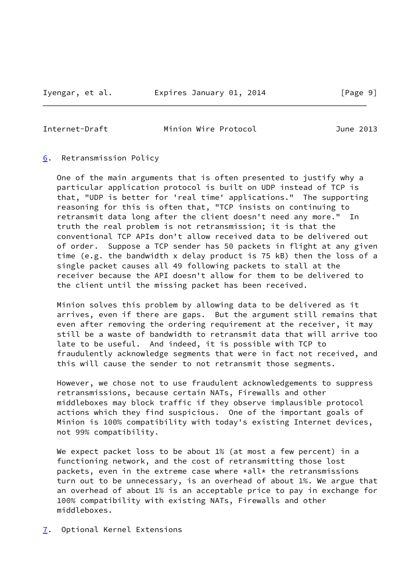Internet-Draft Minion Wire Protocol June 2013

### <span id="page-10-0"></span>[6](#page-10-0). Retransmission Policy

 One of the main arguments that is often presented to justify why a particular application protocol is built on UDP instead of TCP is that, "UDP is better for 'real time' applications." The supporting reasoning for this is often that, "TCP insists on continuing to retransmit data long after the client doesn't need any more." In truth the real problem is not retransmission; it is that the conventional TCP APIs don't allow received data to be delivered out of order. Suppose a TCP sender has 50 packets in flight at any given time (e.g. the bandwidth x delay product is 75 kB) then the loss of a single packet causes all 49 following packets to stall at the receiver because the API doesn't allow for them to be delivered to the client until the missing packet has been received.

 Minion solves this problem by allowing data to be delivered as it arrives, even if there are gaps. But the argument still remains that even after removing the ordering requirement at the receiver, it may still be a waste of bandwidth to retransmit data that will arrive too late to be useful. And indeed, it is possible with TCP to fraudulently acknowledge segments that were in fact not received, and this will cause the sender to not retransmit those segments.

 However, we chose not to use fraudulent acknowledgements to suppress retransmissions, because certain NATs, Firewalls and other middleboxes may block traffic if they observe implausible protocol actions which they find suspicious. One of the important goals of Minion is 100% compatibility with today's existing Internet devices, not 99% compatibility.

 We expect packet loss to be about 1% (at most a few percent) in a functioning network, and the cost of retransmitting those lost packets, even in the extreme case where  $*all*$  the retransmissions turn out to be unnecessary, is an overhead of about 1%. We argue that an overhead of about 1% is an acceptable price to pay in exchange for 100% compatibility with existing NATs, Firewalls and other middleboxes.

<span id="page-10-1"></span>[7](#page-10-1). Optional Kernel Extensions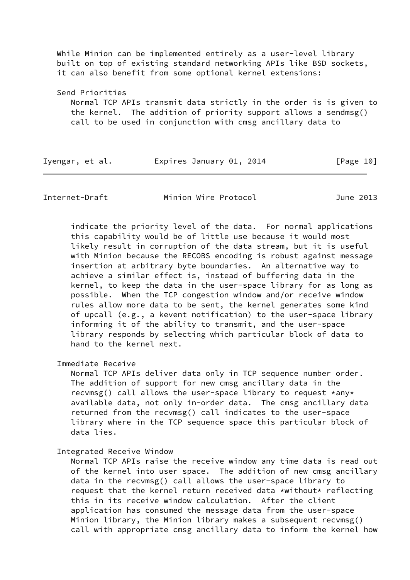While Minion can be implemented entirely as a user-level library built on top of existing standard networking APIs like BSD sockets, it can also benefit from some optional kernel extensions:

 Send Priorities Normal TCP APIs transmit data strictly in the order is is given to the kernel. The addition of priority support allows a sendmsg() call to be used in conjunction with cmsg ancillary data to

| Iyengar, et al. | Expires January 01, 2014 |  | [Page 10] |
|-----------------|--------------------------|--|-----------|
|-----------------|--------------------------|--|-----------|

Internet-Draft Minion Wire Protocol June 2013

 indicate the priority level of the data. For normal applications this capability would be of little use because it would most likely result in corruption of the data stream, but it is useful with Minion because the RECOBS encoding is robust against message insertion at arbitrary byte boundaries. An alternative way to achieve a similar effect is, instead of buffering data in the kernel, to keep the data in the user-space library for as long as possible. When the TCP congestion window and/or receive window rules allow more data to be sent, the kernel generates some kind of upcall (e.g., a kevent notification) to the user-space library informing it of the ability to transmit, and the user-space library responds by selecting which particular block of data to hand to the kernel next.

Immediate Receive

 Normal TCP APIs deliver data only in TCP sequence number order. The addition of support for new cmsg ancillary data in the recvmsg() call allows the user-space library to request \*any\* available data, not only in-order data. The cmsg ancillary data returned from the recvmsg() call indicates to the user-space library where in the TCP sequence space this particular block of data lies.

Integrated Receive Window

 Normal TCP APIs raise the receive window any time data is read out of the kernel into user space. The addition of new cmsg ancillary data in the recvmsg() call allows the user-space library to request that the kernel return received data \*without\* reflecting this in its receive window calculation. After the client application has consumed the message data from the user-space Minion library, the Minion library makes a subsequent recvmsg() call with appropriate cmsg ancillary data to inform the kernel how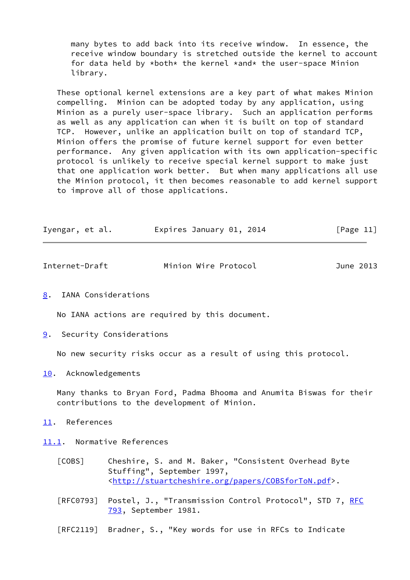many bytes to add back into its receive window. In essence, the receive window boundary is stretched outside the kernel to account for data held by \*both\* the kernel \*and\* the user-space Minion library.

 These optional kernel extensions are a key part of what makes Minion compelling. Minion can be adopted today by any application, using Minion as a purely user-space library. Such an application performs as well as any application can when it is built on top of standard TCP. However, unlike an application built on top of standard TCP, Minion offers the promise of future kernel support for even better performance. Any given application with its own application-specific protocol is unlikely to receive special kernel support to make just that one application work better. But when many applications all use the Minion protocol, it then becomes reasonable to add kernel support to improve all of those applications.

| Iyengar, et al. | Expires January 01, 2014 | [Page 11] |
|-----------------|--------------------------|-----------|
|-----------------|--------------------------|-----------|

| Internet-Draft | Minion Wire Protocol | June 2013 |
|----------------|----------------------|-----------|
|                |                      |           |

<span id="page-12-1"></span>[8](#page-12-1). IANA Considerations

No IANA actions are required by this document.

<span id="page-12-2"></span>[9](#page-12-2). Security Considerations

No new security risks occur as a result of using this protocol.

<span id="page-12-3"></span>[10.](#page-12-3) Acknowledgements

 Many thanks to Bryan Ford, Padma Bhooma and Anumita Biswas for their contributions to the development of Minion.

<span id="page-12-4"></span>[11.](#page-12-4) References

<span id="page-12-5"></span>[11.1](#page-12-5). Normative References

- <span id="page-12-0"></span> [COBS] Cheshire, S. and M. Baker, "Consistent Overhead Byte Stuffing", September 1997, <[http://stuartcheshire.org/papers/COBSforToN.pdf>](http://stuartcheshire.org/papers/COBSforToN.pdf).
- [[RFC](https://datatracker.ietf.org/doc/pdf/rfc793)0793] Postel, J., "Transmission Control Protocol", STD 7, RFC [793](https://datatracker.ietf.org/doc/pdf/rfc793), September 1981.
- [RFC2119] Bradner, S., "Key words for use in RFCs to Indicate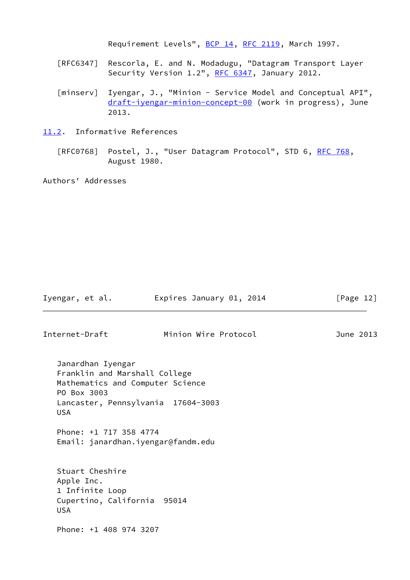Requirement Levels", [BCP 14](https://datatracker.ietf.org/doc/pdf/bcp14), [RFC 2119](https://datatracker.ietf.org/doc/pdf/rfc2119), March 1997.

- [RFC6347] Rescorla, E. and N. Modadugu, "Datagram Transport Layer Security Version 1.2", [RFC 6347](https://datatracker.ietf.org/doc/pdf/rfc6347), January 2012.
- <span id="page-13-0"></span>[minserv] Iyengar, J., "Minion - Service Model and Conceptual API", [draft-iyengar-minion-concept-00](https://datatracker.ietf.org/doc/pdf/draft-iyengar-minion-concept-00) (work in progress), June 2013.
- <span id="page-13-1"></span>[11.2](#page-13-1). Informative References
	- [RFC0768] Postel, J., "User Datagram Protocol", STD 6, [RFC 768](https://datatracker.ietf.org/doc/pdf/rfc768), August 1980.

Authors' Addresses

Internet-Draft Minion Wire Protocol June 2013

Iyengar, et al. **Expires January 01, 2014** [Page 12]

 Janardhan Iyengar Franklin and Marshall College Mathematics and Computer Science PO Box 3003 Lancaster, Pennsylvania 17604-3003 USA

 Phone: +1 717 358 4774 Email: janardhan.iyengar@fandm.edu

 Stuart Cheshire Apple Inc. 1 Infinite Loop Cupertino, California 95014 USA

Phone: +1 408 974 3207